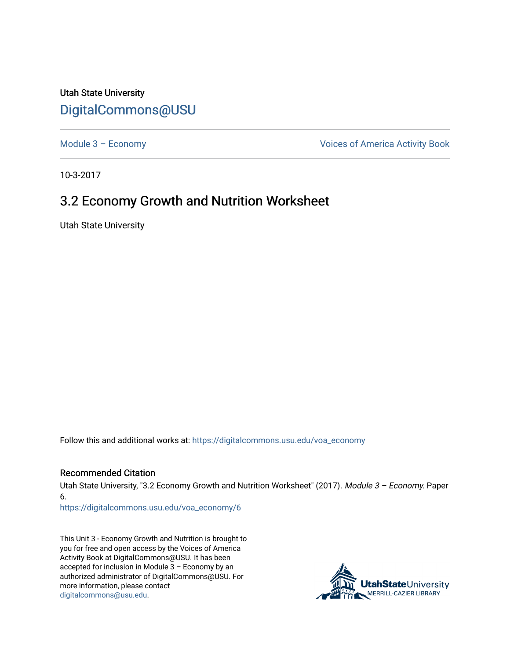## Utah State University [DigitalCommons@USU](https://digitalcommons.usu.edu/)

[Module 3 – Economy](https://digitalcommons.usu.edu/voa_economy) **Module 3 – Economy Voices of America Activity Book** 

10-3-2017

## 3.2 Economy Growth and Nutrition Worksheet

Utah State University

Follow this and additional works at: [https://digitalcommons.usu.edu/voa\\_economy](https://digitalcommons.usu.edu/voa_economy?utm_source=digitalcommons.usu.edu%2Fvoa_economy%2F6&utm_medium=PDF&utm_campaign=PDFCoverPages) 

## Recommended Citation

Utah State University, "3.2 Economy Growth and Nutrition Worksheet" (2017). Module 3 - Economy. Paper 6.

[https://digitalcommons.usu.edu/voa\\_economy/6](https://digitalcommons.usu.edu/voa_economy/6?utm_source=digitalcommons.usu.edu%2Fvoa_economy%2F6&utm_medium=PDF&utm_campaign=PDFCoverPages) 

This Unit 3 - Economy Growth and Nutrition is brought to you for free and open access by the Voices of America Activity Book at DigitalCommons@USU. It has been accepted for inclusion in Module 3 – Economy by an authorized administrator of DigitalCommons@USU. For more information, please contact [digitalcommons@usu.edu.](mailto:digitalcommons@usu.edu)

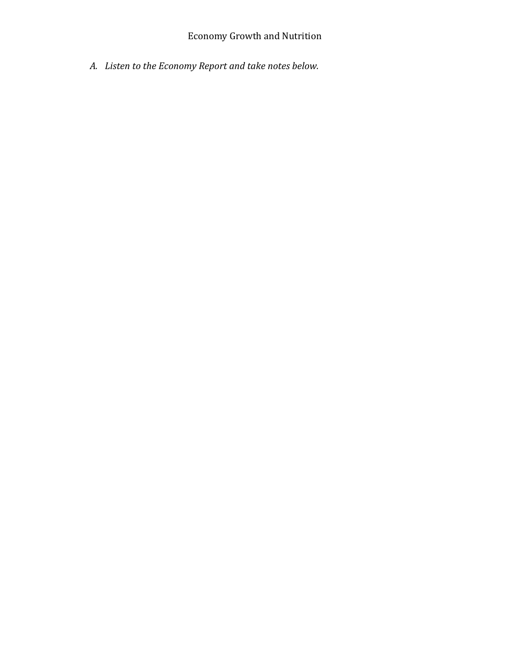## Economy Growth and Nutrition

*A. Listen to the Economy Report and take notes below.*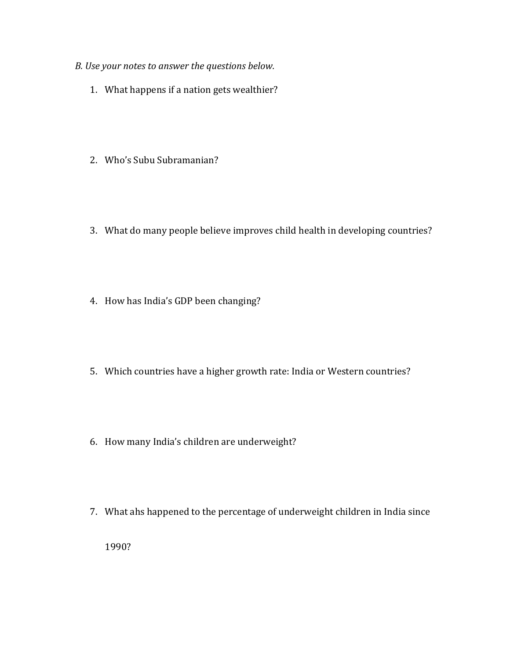- *B. Use your notes to answer the questions below.* 
	- 1. What happens if a nation gets wealthier?
	- 2. Who's Subu Subramanian?
	- 3. What do many people believe improves child health in developing countries?
	- 4. How has India's GDP been changing?
	- 5. Which countries have a higher growth rate: India or Western countries?
	- 6. How many India's children are underweight?
	- 7. What ahs happened to the percentage of underweight children in India since

1990?